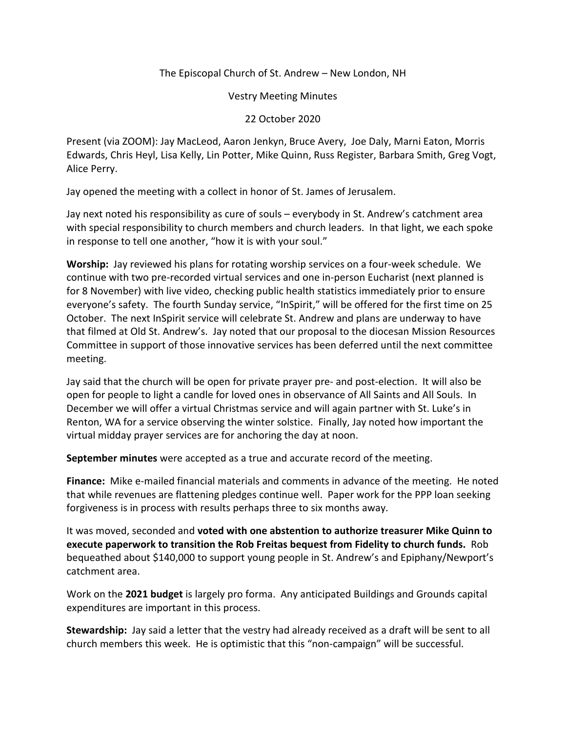## The Episcopal Church of St. Andrew – New London, NH

Vestry Meeting Minutes

## 22 October 2020

Present (via ZOOM): Jay MacLeod, Aaron Jenkyn, Bruce Avery, Joe Daly, Marni Eaton, Morris Edwards, Chris Heyl, Lisa Kelly, Lin Potter, Mike Quinn, Russ Register, Barbara Smith, Greg Vogt, Alice Perry.

Jay opened the meeting with a collect in honor of St. James of Jerusalem.

Jay next noted his responsibility as cure of souls – everybody in St. Andrew's catchment area with special responsibility to church members and church leaders. In that light, we each spoke in response to tell one another, "how it is with your soul."

**Worship:** Jay reviewed his plans for rotating worship services on a four-week schedule. We continue with two pre-recorded virtual services and one in-person Eucharist (next planned is for 8 November) with live video, checking public health statistics immediately prior to ensure everyone's safety. The fourth Sunday service, "InSpirit," will be offered for the first time on 25 October. The next InSpirit service will celebrate St. Andrew and plans are underway to have that filmed at Old St. Andrew's. Jay noted that our proposal to the diocesan Mission Resources Committee in support of those innovative services has been deferred until the next committee meeting.

Jay said that the church will be open for private prayer pre- and post-election. It will also be open for people to light a candle for loved ones in observance of All Saints and All Souls. In December we will offer a virtual Christmas service and will again partner with St. Luke's in Renton, WA for a service observing the winter solstice. Finally, Jay noted how important the virtual midday prayer services are for anchoring the day at noon.

**September minutes** were accepted as a true and accurate record of the meeting.

**Finance:** Mike e-mailed financial materials and comments in advance of the meeting. He noted that while revenues are flattening pledges continue well. Paper work for the PPP loan seeking forgiveness is in process with results perhaps three to six months away.

It was moved, seconded and **voted with one abstention to authorize treasurer Mike Quinn to execute paperwork to transition the Rob Freitas bequest from Fidelity to church funds.** Rob bequeathed about \$140,000 to support young people in St. Andrew's and Epiphany/Newport's catchment area.

Work on the **2021 budget** is largely pro forma. Any anticipated Buildings and Grounds capital expenditures are important in this process.

**Stewardship:** Jay said a letter that the vestry had already received as a draft will be sent to all church members this week. He is optimistic that this "non-campaign" will be successful.